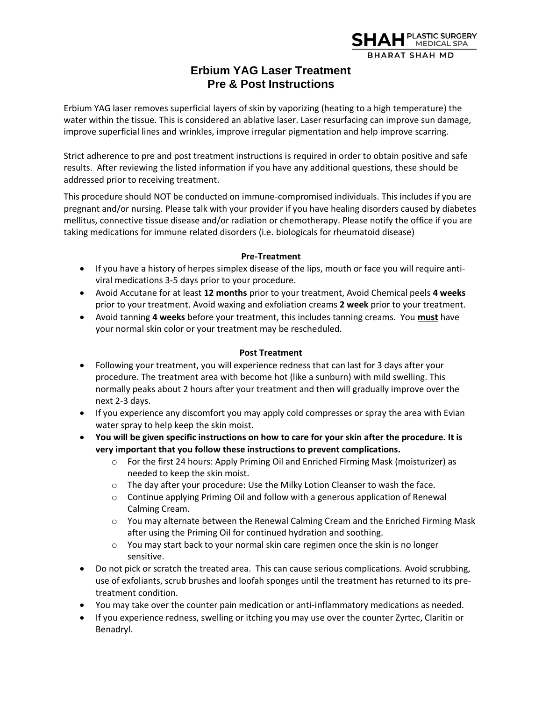

## **Erbium YAG Laser Treatment Pre & Post Instructions**

Erbium YAG laser removes superficial layers of skin by vaporizing (heating to a high temperature) the water within the tissue. This is considered an ablative laser. Laser resurfacing can improve sun damage, improve superficial lines and wrinkles, improve irregular pigmentation and help improve scarring.

Strict adherence to pre and post treatment instructions is required in order to obtain positive and safe results. After reviewing the listed information if you have any additional questions, these should be addressed prior to receiving treatment.

This procedure should NOT be conducted on immune-compromised individuals. This includes if you are pregnant and/or nursing. Please talk with your provider if you have healing disorders caused by diabetes mellitus, connective tissue disease and/or radiation or chemotherapy. Please notify the office if you are taking medications for immune related disorders (i.e. biologicals for rheumatoid disease)

## **Pre-Treatment**

- If you have a history of herpes simplex disease of the lips, mouth or face you will require antiviral medications 3-5 days prior to your procedure.
- Avoid Accutane for at least **12 months** prior to your treatment, Avoid Chemical peels **4 weeks** prior to your treatment. Avoid waxing and exfoliation creams **2 week** prior to your treatment.
- Avoid tanning **4 weeks** before your treatment, this includes tanning creams. You **must** have your normal skin color or your treatment may be rescheduled.

## **Post Treatment**

- Following your treatment, you will experience redness that can last for 3 days after your procedure. The treatment area with become hot (like a sunburn) with mild swelling. This normally peaks about 2 hours after your treatment and then will gradually improve over the next 2-3 days.
- If you experience any discomfort you may apply cold compresses or spray the area with Evian water spray to help keep the skin moist.
- **You will be given specific instructions on how to care for your skin after the procedure. It is very important that you follow these instructions to prevent complications.** 
	- o For the first 24 hours: Apply Priming Oil and Enriched Firming Mask (moisturizer) as needed to keep the skin moist.
	- $\circ$  The day after your procedure: Use the Milky Lotion Cleanser to wash the face.
	- $\circ$  Continue applying Priming Oil and follow with a generous application of Renewal Calming Cream.
	- o You may alternate between the Renewal Calming Cream and the Enriched Firming Mask after using the Priming Oil for continued hydration and soothing.
	- o You may start back to your normal skin care regimen once the skin is no longer sensitive.
- Do not pick or scratch the treated area. This can cause serious complications. Avoid scrubbing, use of exfoliants, scrub brushes and loofah sponges until the treatment has returned to its pretreatment condition.
- You may take over the counter pain medication or anti-inflammatory medications as needed.
- If you experience redness, swelling or itching you may use over the counter Zyrtec, Claritin or Benadryl.